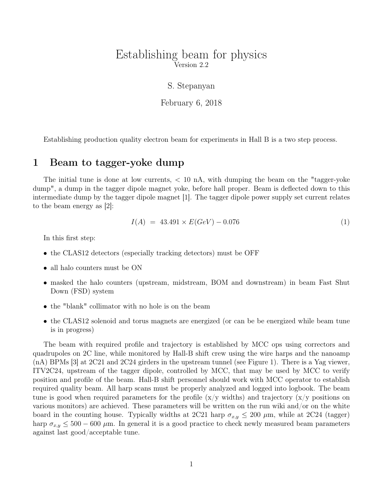## Establishing beam for physics Version 2.2

### S. Stepanyan

February 6, 2018

Establishing production quality electron beam for experiments in Hall B is a two step process.

## 1 Beam to tagger-yoke dump

The initial tune is done at low currents,  $< 10$  nA, with dumping the beam on the "tagger-yoke" dump", a dump in the tagger dipole magnet yoke, before hall proper. Beam is deflected down to this intermediate dump by the tagger dipole magnet [1]. The tagger dipole power supply set current relates to the beam energy as [2]:

$$
I(A) = 43.491 \times E(GeV) - 0.076 \tag{1}
$$

In this first step:

- the CLAS12 detectors (especially tracking detectors) must be OFF
- all halo counters must be ON
- masked the halo counters (upstream, midstream, BOM and downstream) in beam Fast Shut Down (FSD) system
- the "blank" collimator with no hole is on the beam
- the CLAS12 solenoid and torus magnets are energized (or can be be energized while beam tune is in progress)

The beam with required profile and trajectory is established by MCC ops using correctors and quadrupoles on 2C line, while monitored by Hall-B shift crew using the wire harps and the nanoamp (nA) BPMs [3] at 2C21 and 2C24 girders in the upstream tunnel (see Figure 1). There is a Yag viewer, ITV2C24, upstream of the tagger dipole, controlled by MCC, that may be used by MCC to verify position and profile of the beam. Hall-B shift personnel should work with MCC operator to establish required quality beam. All harp scans must be properly analyzed and logged into logbook. The beam tune is good when required parameters for the profile  $(x/y)$  widths) and trajectory  $(x/y)$  positions on various monitors) are achieved. These parameters will be written on the run wiki and/or on the white board in the counting house. Typically widths at 2C21 harp  $\sigma_{x,y} \leq 200 \mu$ m, while at 2C24 (tagger) harp  $\sigma_{x,y} \leq 500 - 600 \,\mu$ m. In general it is a good practice to check newly measured beam parameters against last good/acceptable tune.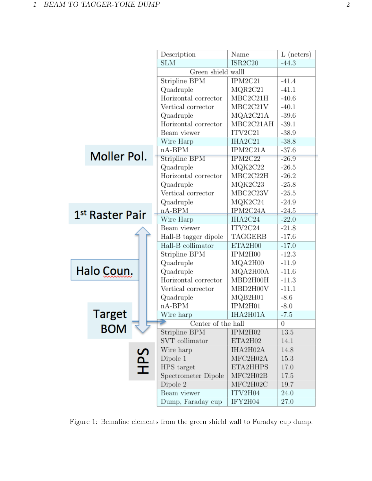|                 | Description          | Name      | $L$ (neters) |
|-----------------|----------------------|-----------|--------------|
|                 | <b>SLM</b>           | ISR2C20   | $-44.3$      |
|                 | Green shield walll   |           |              |
|                 | Stripline BPM        | IPM2C21   | $-41.4$      |
|                 | Quadruple            | MQR2C21   | $-41.1$      |
|                 | Horizontal corrector | MBC2C21H  | $-40.6$      |
|                 | Vertical corrector   | MBC2C21V  | $-40.1$      |
|                 | Quadruple            | MQA2C21A  | $-39.6$      |
|                 | Horizontal corrector | MBC2C21AH | $-39.1$      |
|                 | Beam viewer          | ITV2C21   | $-38.9$      |
|                 | Wire Harp            | IHA2C21   | $-38.8$      |
|                 | $nA-BPM$             | IPM2C21A  | $-37.6$      |
| Moller Pol.     | Stripline BPM        | IPM2C22   | $-26.9$      |
|                 | Quadruple            | MQK2C22   | $-26.5$      |
|                 | Horizontal corrector | MBC2C22H  | $-26.2$      |
|                 | Quadruple            | MQK2C23   | $-25.8$      |
|                 | Vertical corrector   | MBC2C23V  | $-25.5$      |
|                 | Quadruple            | MQK2C24   | $-24.9$      |
| 1st Raster Pair | $nA-BPM$             | IPM2C24A  | $-24.5$      |
|                 | Wire Harp            | IHA2C24   | $-22.0$      |
|                 | Beam viewer          | ITV2C24   | $-21.8$      |
|                 | Hall-B tagger dipole | TAGGERB   | $-17.6$      |
|                 | Hall-B collimator    | ETA2H00   | $-17.0$      |
|                 | Stripline BPM        | IPM2H00   | $-12.3$      |
|                 | Quadruple            | MQA2H00   | $-11.9$      |
| Halo Coun.      | Quadruple            | MQA2H00A  | $-11.6$      |
|                 | Horizontal corrector | MBD2H00H  | $-11.3$      |
|                 | Vertical corrector   | MBD2H00V  | $-11.1$      |
|                 | Quadruple            | MQB2H01   | $-8.6$       |
|                 | $nA-BPM$             | IPM2H01   | $-8.0$       |
| Target          | Wire harp            | IHA2H01A  | $-7.5$       |
| <b>BOM</b>      | Center of the hall   |           | 0            |
|                 | Stripline BPM        | IPM2H02   | 13.5         |
|                 | SVT collimator       | ETA2H02   | 14.1         |
|                 | Wire harp            | IHA2H02A  | 14.8         |
| <b>SdH</b>      | Dipole 1             | MFC2H02A  | 15.3         |
|                 | HPS target           | ETA2HHPS  | 17.0         |
|                 | Spectrometer Dipole  | MFC2H02B  | 17.5         |
|                 | Dipole 2             | MFC2H02C  | 19.7         |
|                 | Beam viewer          | ITV2H04   | 24.0         |
|                 | Dump, Faraday cup    | IFY2H04   | 27.0         |

Figure 1: Bemaline elements from the green shield wall to Faraday cup dump.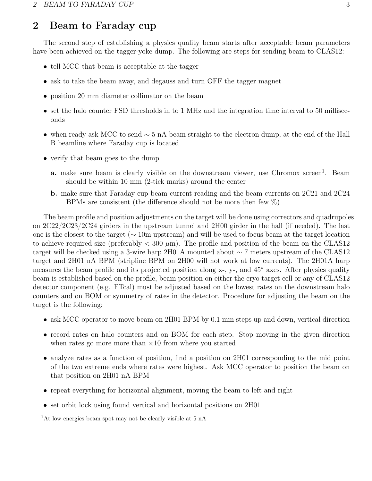# 2 Beam to Faraday cup

The second step of establishing a physics quality beam starts after acceptable beam parameters have been achieved on the tagger-yoke dump. The following are steps for sending beam to CLAS12:

- tell MCC that beam is acceptable at the tagger
- ask to take the beam away, and degauss and turn OFF the tagger magnet
- position 20 mm diameter collimator on the beam
- set the halo counter FSD thresholds in to 1 MHz and the integration time interval to 50 milliseconds
- when ready ask MCC to send  $\sim$  5 nA beam straight to the electron dump, at the end of the Hall B beamline where Faraday cup is located
- verify that beam goes to the dump
	- a. make sure beam is clearly visible on the downstream viewer, use Chromox screen<sup>1</sup>. Beam should be within 10 mm (2-tick marks) around the center
	- b. make sure that Faraday cup beam current reading and the beam currents on 2C21 and 2C24 BPMs are consistent (the difference should not be more then few %)

The beam profile and position adjustments on the target will be done using correctors and quadrupoles on 2C22/2C23/2C24 girders in the upstream tunnel and 2H00 girder in the hall (if needed). The last one is the closest to the target (∼ 10m upstream) and will be used to focus beam at the target location to achieve required size (preferably  $< 300 \mu m$ ). The profile and position of the beam on the CLAS12 target will be checked using a 3-wire harp 2H01A mounted about ∼ 7 meters upstream of the CLAS12 target and 2H01 nA BPM (stripline BPM on 2H00 will not work at low currents). The 2H01A harp measures the beam profile and its projected position along x-, y-, and 45◦ axes. After physics quality beam is established based on the profile, beam position on either the cryo target cell or any of CLAS12 detector component (e.g. FTcal) must be adjusted based on the lowest rates on the downstream halo counters and on BOM or symmetry of rates in the detector. Procedure for adjusting the beam on the target is the following:

- ask MCC operator to move beam on 2H01 BPM by 0.1 mm steps up and down, vertical direction
- record rates on halo counters and on BOM for each step. Stop moving in the given direction when rates go more more than  $\times 10$  from where you started
- analyze rates as a function of position, find a position on 2H01 corresponding to the mid point of the two extreme ends where rates were highest. Ask MCC operator to position the beam on that position on 2H01 nA BPM
- repeat everything for horizontal alignment, moving the beam to left and right
- set orbit lock using found vertical and horizontal positions on 2H01

<sup>&</sup>lt;sup>1</sup>At low energies beam spot may not be clearly visible at 5 nA